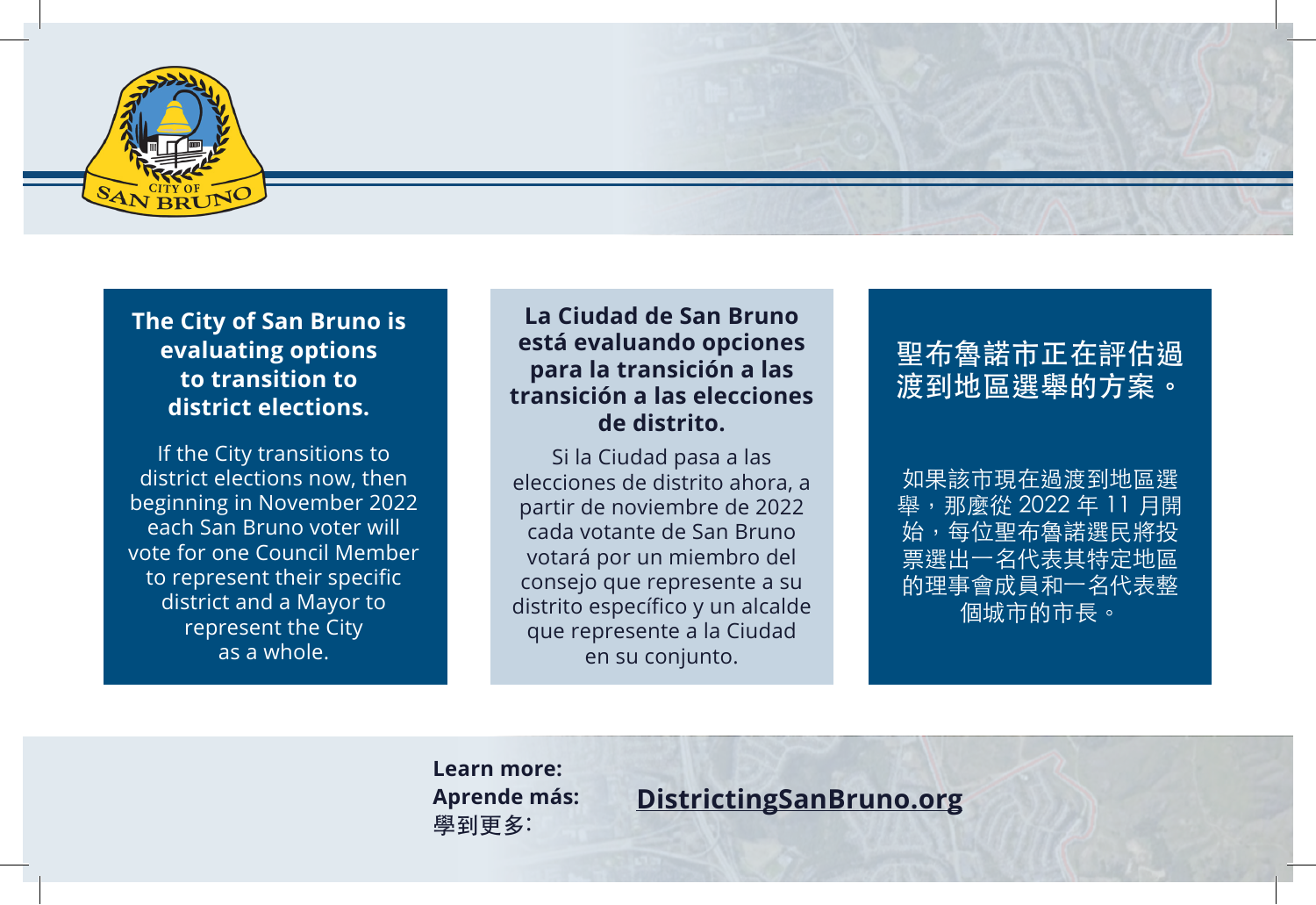

### **The City of San Bruno is evaluating options to transition to district elections.**

If the City transitions to district elections now, then beginning in November 2022 each San Bruno voter will vote for one Council Member to represent their specific district and a Mayor to represent the City as a whole.

#### **La Ciudad de San Bruno está evaluando opciones para la transición a las transición a las elecciones de distrito.**

Si la Ciudad pasa a las elecciones de distrito ahora, a partir de noviembre de 2022 cada votante de San Bruno votará por un miembro del consejo que represente a su distrito específico y un alcalde que represente a la Ciudad en su conjunto.

# 聖布魯諾市正在評估過 渡到地區選舉的方案。

如果該市現在過渡到地區選 舉,那麼從 2022 年 11 月開 始,每位聖布魯諾選民將投 票選出一名代表其特定地區 的理事會成員和一名代表整 個城市的市長。

**Learn more: Aprende más:** 學到更多:

**DistrictingSanBruno.org**